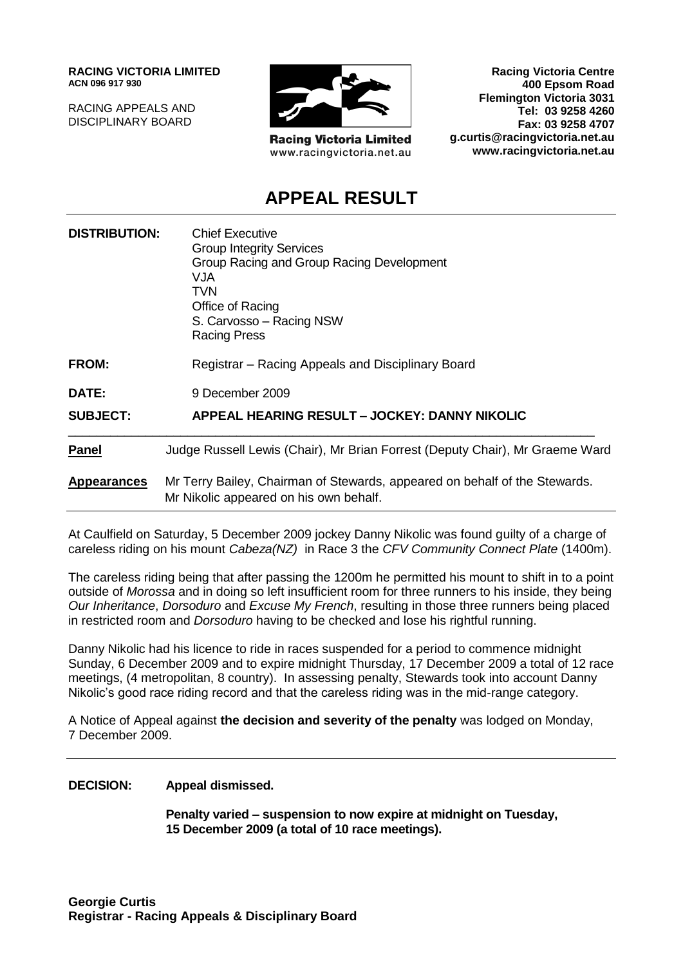**RACING VICTORIA LIMITED ACN 096 917 930**

RACING APPEALS AND DISCIPLINARY BOARD



**Racing Victoria Limited** www.racingvictoria.net.au

**Racing Victoria Centre 400 Epsom Road Flemington Victoria 3031 Tel: 03 9258 4260 Fax: 03 9258 4707 g.curtis@racingvictoria.net.au www.racingvictoria.net.au**

## **APPEAL RESULT**

| <b>DISTRIBUTION:</b> | <b>Chief Executive</b><br><b>Group Integrity Services</b><br>Group Racing and Group Racing Development<br><b>VJA</b><br>TVN<br>Office of Racing<br>S. Carvosso - Racing NSW<br><b>Racing Press</b> |
|----------------------|----------------------------------------------------------------------------------------------------------------------------------------------------------------------------------------------------|
| <b>FROM:</b>         | Registrar - Racing Appeals and Disciplinary Board                                                                                                                                                  |
| DATE:                | 9 December 2009                                                                                                                                                                                    |
| <b>SUBJECT:</b>      | APPEAL HEARING RESULT - JOCKEY: DANNY NIKOLIC                                                                                                                                                      |
| <b>Panel</b>         | Judge Russell Lewis (Chair), Mr Brian Forrest (Deputy Chair), Mr Graeme Ward                                                                                                                       |
| <b>Appearances</b>   | Mr Terry Bailey, Chairman of Stewards, appeared on behalf of the Stewards.<br>Mr Nikolic appeared on his own behalf.                                                                               |

At Caulfield on Saturday, 5 December 2009 jockey Danny Nikolic was found guilty of a charge of careless riding on his mount *Cabeza(NZ)* in Race 3 the *CFV Community Connect Plate* (1400m).

The careless riding being that after passing the 1200m he permitted his mount to shift in to a point outside of *Morossa* and in doing so left insufficient room for three runners to his inside, they being *Our Inheritance*, *Dorsoduro* and *Excuse My French*, resulting in those three runners being placed in restricted room and *Dorsoduro* having to be checked and lose his rightful running.

Danny Nikolic had his licence to ride in races suspended for a period to commence midnight Sunday, 6 December 2009 and to expire midnight Thursday, 17 December 2009 a total of 12 race meetings, (4 metropolitan, 8 country). In assessing penalty, Stewards took into account Danny Nikolic's good race riding record and that the careless riding was in the mid-range category.

A Notice of Appeal against **the decision and severity of the penalty** was lodged on Monday, 7 December 2009.

#### **DECISION: Appeal dismissed.**

**Penalty varied – suspension to now expire at midnight on Tuesday, 15 December 2009 (a total of 10 race meetings).**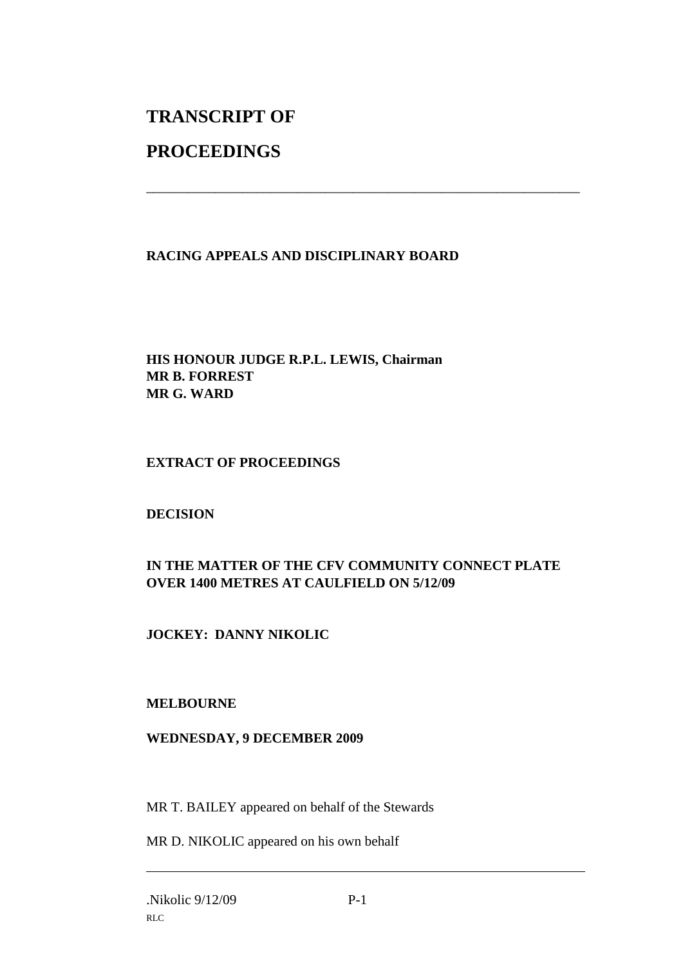# **TRANSCRIPT OF**

## **PROCEEDINGS**

### **RACING APPEALS AND DISCIPLINARY BOARD**

\_\_\_\_\_\_\_\_\_\_\_\_\_\_\_\_\_\_\_\_\_\_\_\_\_\_\_\_\_\_\_\_\_\_\_\_\_\_\_\_\_\_\_\_\_\_\_\_\_\_\_\_\_\_\_\_\_\_\_\_\_\_\_

#### **HIS HONOUR JUDGE R.P.L. LEWIS, Chairman MR B. FORREST MR G. WARD**

#### **EXTRACT OF PROCEEDINGS**

#### **DECISION**

### **IN THE MATTER OF THE CFV COMMUNITY CONNECT PLATE OVER 1400 METRES AT CAULFIELD ON 5/12/09**

#### **JOCKEY: DANNY NIKOLIC**

#### **MELBOURNE**

#### **WEDNESDAY, 9 DECEMBER 2009**

MR T. BAILEY appeared on behalf of the Stewards

MR D. NIKOLIC appeared on his own behalf